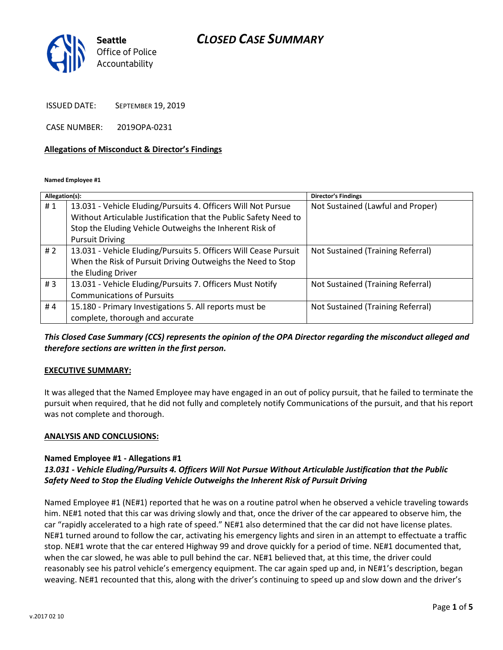## CLOSED CASE SUMMARY



ISSUED DATE: SEPTEMBER 19, 2019

CASE NUMBER: 2019OPA-0231

#### Allegations of Misconduct & Director's Findings

Named Employee #1

| Allegation(s): |                                                                  | <b>Director's Findings</b>        |
|----------------|------------------------------------------------------------------|-----------------------------------|
| #1             | 13.031 - Vehicle Eluding/Pursuits 4. Officers Will Not Pursue    | Not Sustained (Lawful and Proper) |
|                | Without Articulable Justification that the Public Safety Need to |                                   |
|                | Stop the Eluding Vehicle Outweighs the Inherent Risk of          |                                   |
|                | <b>Pursuit Driving</b>                                           |                                   |
| #2             | 13.031 - Vehicle Eluding/Pursuits 5. Officers Will Cease Pursuit | Not Sustained (Training Referral) |
|                | When the Risk of Pursuit Driving Outweighs the Need to Stop      |                                   |
|                | the Eluding Driver                                               |                                   |
| #3             | 13.031 - Vehicle Eluding/Pursuits 7. Officers Must Notify        | Not Sustained (Training Referral) |
|                | <b>Communications of Pursuits</b>                                |                                   |
| #4             | 15.180 - Primary Investigations 5. All reports must be           | Not Sustained (Training Referral) |
|                | complete, thorough and accurate                                  |                                   |

This Closed Case Summary (CCS) represents the opinion of the OPA Director regarding the misconduct alleged and therefore sections are written in the first person.

## EXECUTIVE SUMMARY:

It was alleged that the Named Employee may have engaged in an out of policy pursuit, that he failed to terminate the pursuit when required, that he did not fully and completely notify Communications of the pursuit, and that his report was not complete and thorough.

#### ANALYSIS AND CONCLUSIONS:

#### Named Employee #1 - Allegations #1

## 13.031 - Vehicle Eluding/Pursuits 4. Officers Will Not Pursue Without Articulable Justification that the Public Safety Need to Stop the Eluding Vehicle Outweighs the Inherent Risk of Pursuit Driving

Named Employee #1 (NE#1) reported that he was on a routine patrol when he observed a vehicle traveling towards him. NE#1 noted that this car was driving slowly and that, once the driver of the car appeared to observe him, the car "rapidly accelerated to a high rate of speed." NE#1 also determined that the car did not have license plates. NE#1 turned around to follow the car, activating his emergency lights and siren in an attempt to effectuate a traffic stop. NE#1 wrote that the car entered Highway 99 and drove quickly for a period of time. NE#1 documented that, when the car slowed, he was able to pull behind the car. NE#1 believed that, at this time, the driver could reasonably see his patrol vehicle's emergency equipment. The car again sped up and, in NE#1's description, began weaving. NE#1 recounted that this, along with the driver's continuing to speed up and slow down and the driver's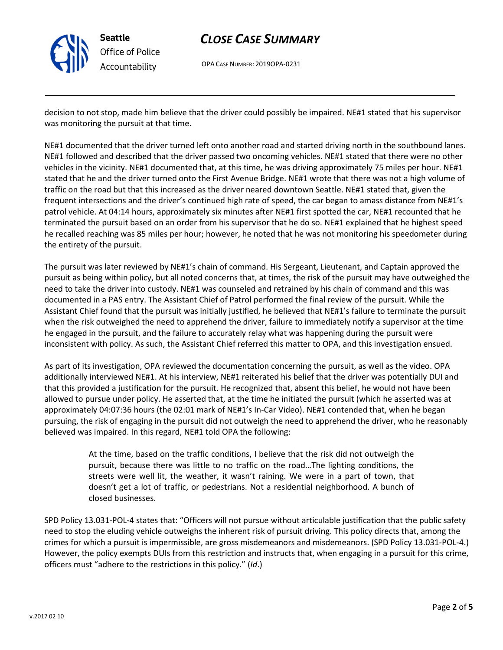

## CLOSE CASE SUMMARY

OPA CASE NUMBER: 2019OPA-0231

decision to not stop, made him believe that the driver could possibly be impaired. NE#1 stated that his supervisor was monitoring the pursuit at that time.

NE#1 documented that the driver turned left onto another road and started driving north in the southbound lanes. NE#1 followed and described that the driver passed two oncoming vehicles. NE#1 stated that there were no other vehicles in the vicinity. NE#1 documented that, at this time, he was driving approximately 75 miles per hour. NE#1 stated that he and the driver turned onto the First Avenue Bridge. NE#1 wrote that there was not a high volume of traffic on the road but that this increased as the driver neared downtown Seattle. NE#1 stated that, given the frequent intersections and the driver's continued high rate of speed, the car began to amass distance from NE#1's patrol vehicle. At 04:14 hours, approximately six minutes after NE#1 first spotted the car, NE#1 recounted that he terminated the pursuit based on an order from his supervisor that he do so. NE#1 explained that he highest speed he recalled reaching was 85 miles per hour; however, he noted that he was not monitoring his speedometer during the entirety of the pursuit.

The pursuit was later reviewed by NE#1's chain of command. His Sergeant, Lieutenant, and Captain approved the pursuit as being within policy, but all noted concerns that, at times, the risk of the pursuit may have outweighed the need to take the driver into custody. NE#1 was counseled and retrained by his chain of command and this was documented in a PAS entry. The Assistant Chief of Patrol performed the final review of the pursuit. While the Assistant Chief found that the pursuit was initially justified, he believed that NE#1's failure to terminate the pursuit when the risk outweighed the need to apprehend the driver, failure to immediately notify a supervisor at the time he engaged in the pursuit, and the failure to accurately relay what was happening during the pursuit were inconsistent with policy. As such, the Assistant Chief referred this matter to OPA, and this investigation ensued.

As part of its investigation, OPA reviewed the documentation concerning the pursuit, as well as the video. OPA additionally interviewed NE#1. At his interview, NE#1 reiterated his belief that the driver was potentially DUI and that this provided a justification for the pursuit. He recognized that, absent this belief, he would not have been allowed to pursue under policy. He asserted that, at the time he initiated the pursuit (which he asserted was at approximately 04:07:36 hours (the 02:01 mark of NE#1's In-Car Video). NE#1 contended that, when he began pursuing, the risk of engaging in the pursuit did not outweigh the need to apprehend the driver, who he reasonably believed was impaired. In this regard, NE#1 told OPA the following:

> At the time, based on the traffic conditions, I believe that the risk did not outweigh the pursuit, because there was little to no traffic on the road…The lighting conditions, the streets were well lit, the weather, it wasn't raining. We were in a part of town, that doesn't get a lot of traffic, or pedestrians. Not a residential neighborhood. A bunch of closed businesses.

SPD Policy 13.031-POL-4 states that: "Officers will not pursue without articulable justification that the public safety need to stop the eluding vehicle outweighs the inherent risk of pursuit driving. This policy directs that, among the crimes for which a pursuit is impermissible, are gross misdemeanors and misdemeanors. (SPD Policy 13.031-POL-4.) However, the policy exempts DUIs from this restriction and instructs that, when engaging in a pursuit for this crime, officers must "adhere to the restrictions in this policy." (Id.)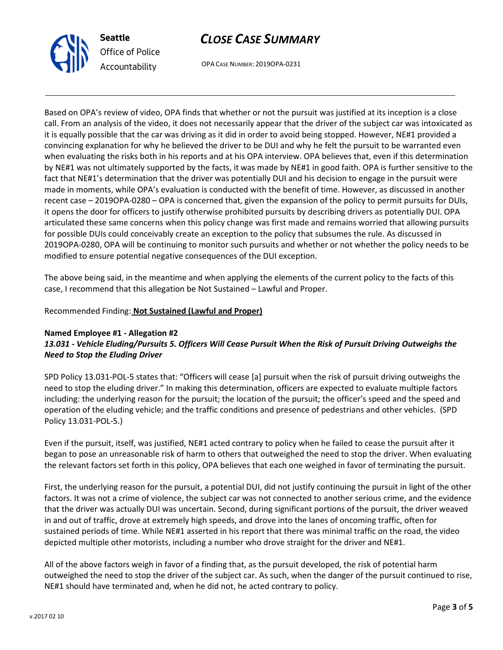

## CLOSE CASE SUMMARY

OPA CASE NUMBER: 2019OPA-0231

Based on OPA's review of video, OPA finds that whether or not the pursuit was justified at its inception is a close call. From an analysis of the video, it does not necessarily appear that the driver of the subject car was intoxicated as it is equally possible that the car was driving as it did in order to avoid being stopped. However, NE#1 provided a convincing explanation for why he believed the driver to be DUI and why he felt the pursuit to be warranted even when evaluating the risks both in his reports and at his OPA interview. OPA believes that, even if this determination by NE#1 was not ultimately supported by the facts, it was made by NE#1 in good faith. OPA is further sensitive to the fact that NE#1's determination that the driver was potentially DUI and his decision to engage in the pursuit were made in moments, while OPA's evaluation is conducted with the benefit of time. However, as discussed in another recent case – 2019OPA-0280 – OPA is concerned that, given the expansion of the policy to permit pursuits for DUIs, it opens the door for officers to justify otherwise prohibited pursuits by describing drivers as potentially DUI. OPA articulated these same concerns when this policy change was first made and remains worried that allowing pursuits for possible DUIs could conceivably create an exception to the policy that subsumes the rule. As discussed in 2019OPA-0280, OPA will be continuing to monitor such pursuits and whether or not whether the policy needs to be modified to ensure potential negative consequences of the DUI exception.

The above being said, in the meantime and when applying the elements of the current policy to the facts of this case, I recommend that this allegation be Not Sustained – Lawful and Proper.

#### Recommended Finding: Not Sustained (Lawful and Proper)

## Named Employee #1 - Allegation #2

## 13.031 - Vehicle Eluding/Pursuits 5. Officers Will Cease Pursuit When the Risk of Pursuit Driving Outweighs the Need to Stop the Eluding Driver

SPD Policy 13.031-POL-5 states that: "Officers will cease [a] pursuit when the risk of pursuit driving outweighs the need to stop the eluding driver." In making this determination, officers are expected to evaluate multiple factors including: the underlying reason for the pursuit; the location of the pursuit; the officer's speed and the speed and operation of the eluding vehicle; and the traffic conditions and presence of pedestrians and other vehicles. (SPD Policy 13.031-POL-5.)

Even if the pursuit, itself, was justified, NE#1 acted contrary to policy when he failed to cease the pursuit after it began to pose an unreasonable risk of harm to others that outweighed the need to stop the driver. When evaluating the relevant factors set forth in this policy, OPA believes that each one weighed in favor of terminating the pursuit.

First, the underlying reason for the pursuit, a potential DUI, did not justify continuing the pursuit in light of the other factors. It was not a crime of violence, the subject car was not connected to another serious crime, and the evidence that the driver was actually DUI was uncertain. Second, during significant portions of the pursuit, the driver weaved in and out of traffic, drove at extremely high speeds, and drove into the lanes of oncoming traffic, often for sustained periods of time. While NE#1 asserted in his report that there was minimal traffic on the road, the video depicted multiple other motorists, including a number who drove straight for the driver and NE#1.

All of the above factors weigh in favor of a finding that, as the pursuit developed, the risk of potential harm outweighed the need to stop the driver of the subject car. As such, when the danger of the pursuit continued to rise, NE#1 should have terminated and, when he did not, he acted contrary to policy.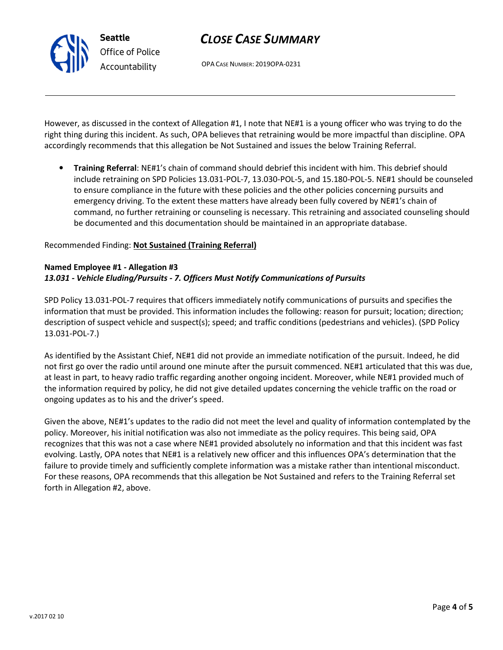Seattle Office of Police Accountability

# CLOSE CASE SUMMARY

OPA CASE NUMBER: 2019OPA-0231

However, as discussed in the context of Allegation #1, I note that NE#1 is a young officer who was trying to do the right thing during this incident. As such, OPA believes that retraining would be more impactful than discipline. OPA accordingly recommends that this allegation be Not Sustained and issues the below Training Referral.

• Training Referral: NE#1's chain of command should debrief this incident with him. This debrief should include retraining on SPD Policies 13.031-POL-7, 13.030-POL-5, and 15.180-POL-5. NE#1 should be counseled to ensure compliance in the future with these policies and the other policies concerning pursuits and emergency driving. To the extent these matters have already been fully covered by NE#1's chain of command, no further retraining or counseling is necessary. This retraining and associated counseling should be documented and this documentation should be maintained in an appropriate database.

## Recommended Finding: Not Sustained (Training Referral)

#### Named Employee #1 - Allegation #3 13.031 - Vehicle Eluding/Pursuits - 7. Officers Must Notify Communications of Pursuits

SPD Policy 13.031-POL-7 requires that officers immediately notify communications of pursuits and specifies the information that must be provided. This information includes the following: reason for pursuit; location; direction; description of suspect vehicle and suspect(s); speed; and traffic conditions (pedestrians and vehicles). (SPD Policy 13.031-POL-7.)

As identified by the Assistant Chief, NE#1 did not provide an immediate notification of the pursuit. Indeed, he did not first go over the radio until around one minute after the pursuit commenced. NE#1 articulated that this was due, at least in part, to heavy radio traffic regarding another ongoing incident. Moreover, while NE#1 provided much of the information required by policy, he did not give detailed updates concerning the vehicle traffic on the road or ongoing updates as to his and the driver's speed.

Given the above, NE#1's updates to the radio did not meet the level and quality of information contemplated by the policy. Moreover, his initial notification was also not immediate as the policy requires. This being said, OPA recognizes that this was not a case where NE#1 provided absolutely no information and that this incident was fast evolving. Lastly, OPA notes that NE#1 is a relatively new officer and this influences OPA's determination that the failure to provide timely and sufficiently complete information was a mistake rather than intentional misconduct. For these reasons, OPA recommends that this allegation be Not Sustained and refers to the Training Referral set forth in Allegation #2, above.